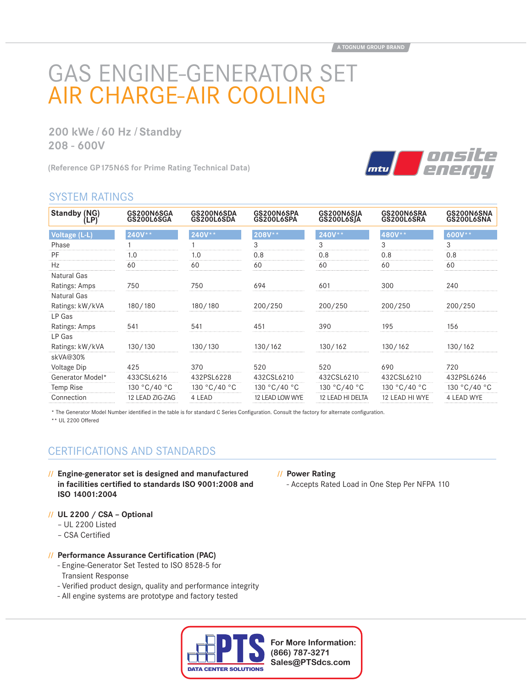# GAS ENGINE-GENERATOR SET AIR CHARGE-AIR COOLING

**200 kWe / 60 Hz / Standby 208 - 600V**

**(Reference GP175N6S for Prime Rating Technical Data)**



# SYSTEM RATINGS

| Standby (NG)<br>[LP] | GS200N6SGA<br>GS200L6SGA | GS200N6SDA<br>GS200L6SDA | GS200N6SPA<br>GS200L6SPA | GS200N6SJA<br><b>GS200L6SJA</b> | GS200N6SRA<br>GS200L6SRA | GS200N6SNA<br>GS200L6SNA |
|----------------------|--------------------------|--------------------------|--------------------------|---------------------------------|--------------------------|--------------------------|
| Voltage (L-L)        | $240V**$                 | $240V**$                 | 208V**                   | 240V**                          | 480V **                  | $600V^{\star\star}$      |
| Phase                |                          |                          |                          | 3                               | 3                        | 3                        |
| PF                   | 1.0                      | 1.0                      | 0.8                      | 0.8                             | 0.8                      | 0.8                      |
| Hz                   | 60                       | 60                       | 60                       | 60                              | 60                       | 60                       |
| Natural Gas          |                          |                          |                          |                                 |                          |                          |
| Ratings: Amps        | 750                      | 750                      | 694                      | 601                             | 300                      | 240                      |
| Natural Gas          |                          |                          |                          |                                 |                          |                          |
| Ratings: kW/kVA      | 180/180                  | 180/180                  | 200/250                  | 200/250                         | 200/250                  | 200/250                  |
| LP Gas               |                          |                          |                          |                                 |                          |                          |
| Ratings: Amps        | 541                      | 541                      | 451                      | 390                             | 195                      | 156                      |
| LP Gas               |                          |                          |                          |                                 |                          |                          |
| Ratings: kW/kVA      | 130/130                  | 130/130                  | 130/162                  | 130/162                         | 130/162                  | 130/162                  |
| skVA@30%             |                          |                          |                          |                                 |                          |                          |
| Voltage Dip          | 425                      | 370                      | 520                      | 520                             | 690                      | 720                      |
| Generator Model*     | 433CSL6216               | 432PSL6228               | 432CSL6210               | 432CSL6210                      | 432CSL6210               | 432PSL6246               |
| Temp Rise            | 130 °C/40 °C             | 130 °C/40 °C             | 130 °C/40 °C             | 130 °C/40 °C                    | 130 °C/40 °C             | 130 °C/40 °C             |
| Connection           | 12 LEAD ZIG-ZAG          | 4 LEAD                   | 12 LEAD LOW WYE          | 12 LEAD HI DELTA                | 12 LEAD HI WYE           | 4 LEAD WYE               |

\* The Generator Model Number identified in the table is for standard C Series Configuration. Consult the factory for alternate configuration.

\*\* UL 2200 Offered

# CERTIFICATIONS AND STANDARDS

- **// Engine-generator set is designed and manufactured**  in facilities certified to standards ISO 9001:2008 and **ISO 14001:2004**
- **// UL 2200 / CSA Optional**
	- UL 2200 Listed
	- CSA Certified

## **// Performance Assurance Certification (PAC)**

- Engine-Generator Set Tested to ISO 8528-5 for Transient Response
- Verified product design, quality and performance integrity
- All engine systems are prototype and factory tested



**For More Information: (866) 787-3271 Sales@PTSdcs.com**

#### **// Power Rating**

- Accepts Rated Load in One Step Per NFPA 110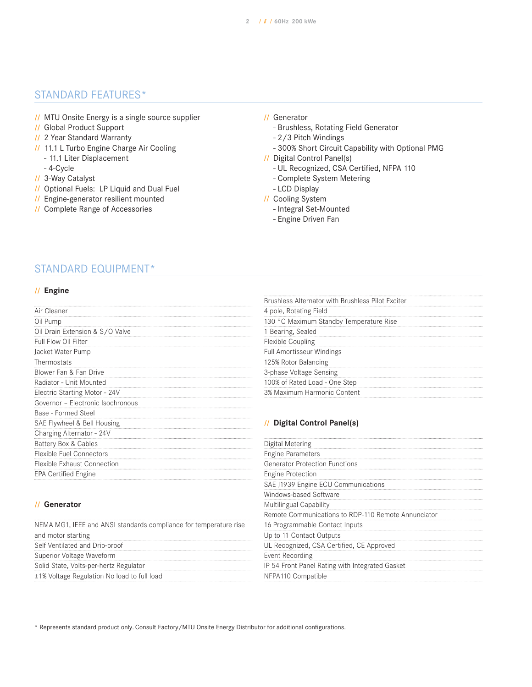# STANDARD FEATURES\*

- **//** MTU Onsite Energy is a single source supplier
- **//** Global Product Support
- **//** 2 Year Standard Warranty
- **//** 11.1 L Turbo Engine Charge Air Cooling
	- 11.1 Liter Displacement
	- 4-Cycle
- **//** 3-Way Catalyst
- **//** Optional Fuels: LP Liquid and Dual Fuel
- **//** Engine-generator resilient mounted
- **//** Complete Range of Accessories

## **//** Generator

- Brushless, Rotating Field Generator
- 2/3 Pitch Windings
- 300% Short Circuit Capability with Optional PMG
- **//** Digital Control Panel(s)
	- UL Recognized, CSA Certified, NFPA 110
	- Complete System Metering
	- LCD Display
- **//** Cooling System
	- Integral Set-Mounted
	- Engine Driven Fan

## STANDARD EQUIPMENT\*

## **// Engine**

|                                   | , , , , , ,  |
|-----------------------------------|--------------|
| Air Cleaner                       | 4 pole       |
| Oil Pump                          | 130°         |
| Oil Drain Extension & S/O Valve   | 1 Bea        |
| Full Flow Oil Filter              | Flexib       |
| Jacket Water Pump                 | Full A       |
| Thermostats                       | 125%         |
| Blower Fan & Fan Drive            | 3-pha        |
| Radiator - Unit Mounted           | 100%         |
| Electric Starting Motor - 24V     | 3% Ma        |
| Governor - Electronic Isochronous |              |
| Base - Formed Steel               |              |
| SAE Flywheel & Bell Housing       | Di           |
| Charging Alternator - 24V         |              |
| Battery Box & Cables              | Digita       |
| Flexible Fuel Connectors          | <b>Engin</b> |
| Flexible Exhaust Connection       | Gener        |
| <b>EPA Certified Engine</b>       | <b>Engin</b> |
|                                   |              |

| 4 pole, Rotating Field                  |  |
|-----------------------------------------|--|
| 130 °C Maximum Standby Temperature Rise |  |
| 1 Bearing, Sealed                       |  |
| <b>Flexible Coupling</b>                |  |
| <b>Full Amortisseur Windings</b>        |  |
| 125% Rotor Balancing                    |  |
| 3-phase Voltage Sensing                 |  |
| 100% of Rated Load - One Step           |  |
| 3% Maximum Harmonic Content             |  |

#### **// Digital Control Panel(s)**

| Digital Metering                                    |  |
|-----------------------------------------------------|--|
| <b>Engine Parameters</b>                            |  |
| <b>Generator Protection Functions</b>               |  |
| Engine Protection                                   |  |
| SAE J1939 Engine ECU Communications                 |  |
| Windows-based Software                              |  |
| Multilingual Capability                             |  |
| Remote Communications to RDP-110 Remote Annunciator |  |
| 16 Programmable Contact Inputs                      |  |
| Up to 11 Contact Outputs                            |  |
| UL Recognized, CSA Certified, CE Approved           |  |
| Event Recording                                     |  |
| IP 54 Front Panel Rating with Integrated Gasket     |  |
| NFPA110 Compatible                                  |  |
|                                                     |  |

## **// Generator**

| NEMA MG1, IEEE and ANSI standards compliance for temperature rise |
|-------------------------------------------------------------------|
| and motor starting                                                |
| Self Ventilated and Drip-proof                                    |
| Superior Voltage Waveform                                         |
| Solid State, Volts-per-hertz Regulator                            |
| ±1% Voltage Regulation No load to full load                       |

\* Represents standard product only. Consult Factory/MTU Onsite Energy Distributor for additional configurations.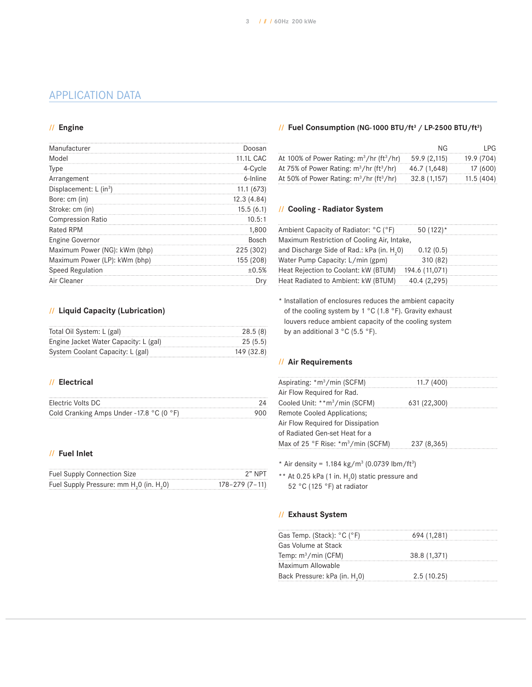# APPLICATION DATA

#### **// Engine**

| Manufacturer                       | Doosan           |
|------------------------------------|------------------|
| Model                              | <b>11.1L CAC</b> |
| <b>Type</b>                        | 4-Cycle          |
| Arrangement                        | 6-Inline         |
| Displacement: L (in <sup>3</sup> ) | 11.1(673)        |
| Bore: cm (in)                      | 12.3(4.84)       |
| Stroke: cm (in)                    | 15.5(6.1)        |
| <b>Compression Ratio</b>           | 10.5:1           |
| <b>Rated RPM</b>                   | 1,800            |
| Engine Governor                    | <b>Bosch</b>     |
| Maximum Power (NG): kWm (bhp)      | 225 (302)        |
| Maximum Power (LP): kWm (bhp)      | 155 (208)        |
| <b>Speed Regulation</b>            | ±0.5%            |
| Air Cleaner                        | Drv              |

## **// Liquid Capacity (Lubrication)**

| Total Oil System: L (gal)             | 28.5(8)    |
|---------------------------------------|------------|
| Engine Jacket Water Capacity: L (gal) | 25(5.5)    |
| System Coolant Capacity: L (gal)      | 149 (32.8) |

## **// Electrical**

| Electric Volts DC                                            |     |
|--------------------------------------------------------------|-----|
| Cold Cranking Amps Under -17.8 $^{\circ}$ C (0 $^{\circ}$ F) | 900 |

## **// Fuel Inlet**

| <b>Fuel Supply Connection Size</b>                               | 2" NP1              |
|------------------------------------------------------------------|---------------------|
| Fuel Supply Pressure: mm H <sub>2</sub> 0 (in. H <sub>2</sub> 0) | $178 - 279(7 - 11)$ |

#### **// Fuel Consumption (NG-1000 BTU/ft3 / LP-2500 BTU/ft3 )**

|                                                         | NG.          | I PG.      |
|---------------------------------------------------------|--------------|------------|
| At 100% of Power Rating: $m^3/hr$ (ft <sup>3</sup> /hr) | 59.9 (2,115) | 19.9 (704) |
| At 75% of Power Rating: $m^3/hr$ (ft <sup>3</sup> /hr)  | 46.7 (1.648) | 17 (600)   |
| At 50% of Power Rating: $m^3/hr$ (ft <sup>3</sup> /hr)  | 32.8 (1.157) | 11.5(404)  |

## **// Cooling - Radiator System**

| Ambient Capacity of Radiator: °C (°F)                  | $50(122)^*$    |  |
|--------------------------------------------------------|----------------|--|
| Maximum Restriction of Cooling Air, Intake,            |                |  |
| and Discharge Side of Rad.: kPa (in. H <sub>2</sub> 0) | 0.12(0.5)      |  |
| Water Pump Capacity: L/min (gpm)                       | 310 (82)       |  |
| Heat Rejection to Coolant: kW (BTUM)                   | 194.6 (11,071) |  |
| Heat Radiated to Ambient: kW (BTUM)                    | 40.4 (2,295)   |  |

\* Installation of enclosures reduces the ambient capacity of the cooling system by 1 °C (1.8 °F). Gravity exhaust louvers reduce ambient capacity of the cooling system by an additional 3 °C (5.5 °F).

#### **// Air Requirements**

| Aspirating: *m <sup>3</sup> /min (SCFM)                  | 11.7 (400)   |  |
|----------------------------------------------------------|--------------|--|
| Air Flow Required for Rad.                               |              |  |
| Cooled Unit: **m <sup>3</sup> /min (SCFM)                | 631 (22,300) |  |
| <b>Remote Cooled Applications:</b>                       |              |  |
| Air Flow Required for Dissipation                        |              |  |
| of Radiated Gen-set Heat for a                           |              |  |
| Max of 25 °F Rise: $\text{*}$ m <sup>3</sup> /min (SCFM) | 237 (8,365)  |  |

\* Air density =  $1.184 \text{ kg/m}^3$  (0.0739 lbm/ft<sup>3</sup>)

\*\* At 0.25 kPa (1 in.  $H_2$ 0) static pressure and 52 °C (125 °F) at radiator

## **// Exhaust System**

| 694 (1,281)  |
|--------------|
|              |
| 38.8 (1,371) |
|              |
| 2.5(10.25)   |
|              |